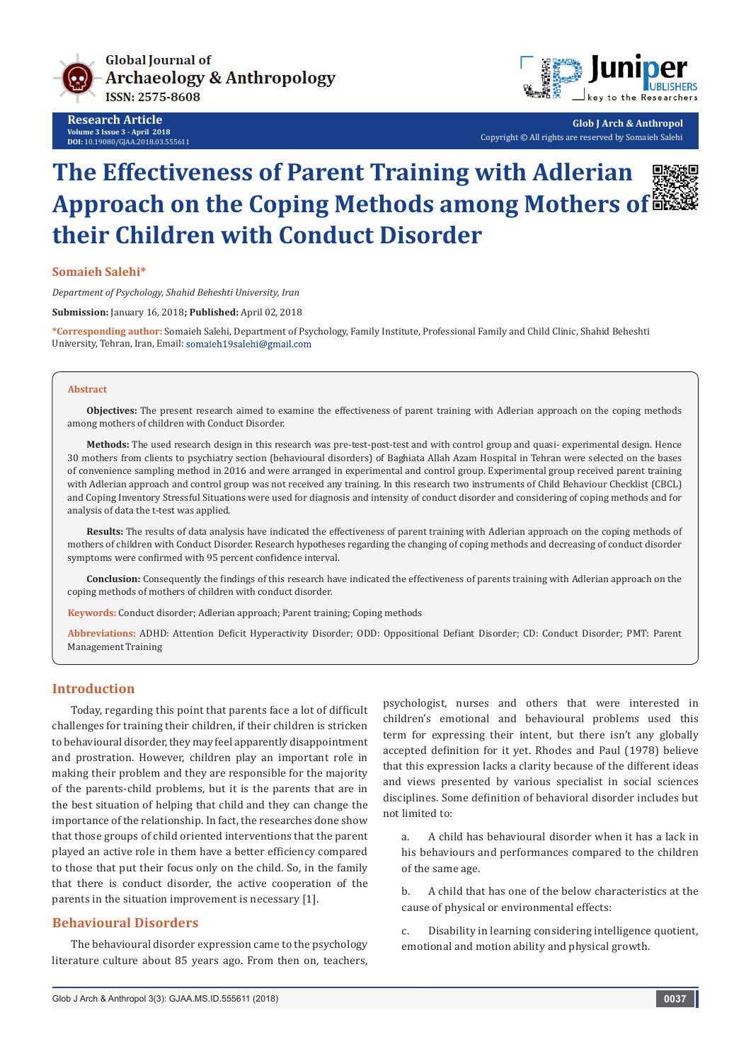

**Research Article Volume 3 Issue 3 - April 2018 DOI:** [10.19080/GJAA.2018.03.555611](http://dx.doi.org/10.19080/GJAA.2018.03.555611)



**Glob J Arch & Anthropol** Copyright © All rights are reserved by Somaieh Salehi

# **The Effectiveness of Parent Training with Adlerian Approach on the Coping Methods among Mothers of their Children with Conduct Disorder**

#### **Somaieh Salehi\***

*Department of Psychology, Shahid Beheshti University, Iran*

**Submission:** January 16, 2018**; Published:** April 02, 2018

**\*Corresponding author:** Somaieh Salehi, Department of Psychology, Family Institute, Professional Family and Child Clinic, Shahid Beheshti University, Tehran, Iran, Email: somaieh19salehi@gmail.com

#### **Abstract**

**Objectives:** The present research aimed to examine the effectiveness of parent training with Adlerian approach on the coping methods among mothers of children with Conduct Disorder.

**Methods:** The used research design in this research was pre-test-post-test and with control group and quasi- experimental design. Hence 30 mothers from clients to psychiatry section (behavioural disorders) of Baghiata Allah Azam Hospital in Tehran were selected on the bases of convenience sampling method in 2016 and were arranged in experimental and control group. Experimental group received parent training with Adlerian approach and control group was not received any training. In this research two instruments of Child Behaviour Checklist (CBCL) and Coping Inventory Stressful Situations were used for diagnosis and intensity of conduct disorder and considering of coping methods and for analysis of data the t-test was applied.

**Results:** The results of data analysis have indicated the effectiveness of parent training with Adlerian approach on the coping methods of mothers of children with Conduct Disorder. Research hypotheses regarding the changing of coping methods and decreasing of conduct disorder symptoms were confirmed with 95 percent confidence interval.

**Conclusion:** Consequently the findings of this research have indicated the effectiveness of parents training with Adlerian approach on the coping methods of mothers of children with conduct disorder.

**Keywords:** Conduct disorder; Adlerian approach; Parent training; Coping methods

**Abbreviations:** ADHD: Attention Deficit Hyperactivity Disorder; ODD: Oppositional Defiant Disorder; CD: Conduct Disorder; PMT: Parent Management Training

#### **Introduction**

Today, regarding this point that parents face a lot of difficult challenges for training their children, if their children is stricken to behavioural disorder, they may feel apparently disappointment and prostration. However, children play an important role in making their problem and they are responsible for the majority of the parents-child problems, but it is the parents that are in the best situation of helping that child and they can change the importance of the relationship. In fact, the researches done show that those groups of child oriented interventions that the parent played an active role in them have a better efficiency compared to those that put their focus only on the child. So, in the family that there is conduct disorder, the active cooperation of the parents in the situation improvement is necessary [1].

## **Behavioural Disorders**

The behavioural disorder expression came to the psychology literature culture about 85 years ago. From then on, teachers, psychologist, nurses and others that were interested in children's emotional and behavioural problems used this term for expressing their intent, but there isn't any globally accepted definition for it yet. Rhodes and Paul (1978) believe that this expression lacks a clarity because of the different ideas and views presented by various specialist in social sciences disciplines. Some definition of behavioral disorder includes but not limited to:

a. A child has behavioural disorder when it has a lack in his behaviours and performances compared to the children of the same age.

b. A child that has one of the below characteristics at the cause of physical or environmental effects:

c. Disability in learning considering intelligence quotient, emotional and motion ability and physical growth.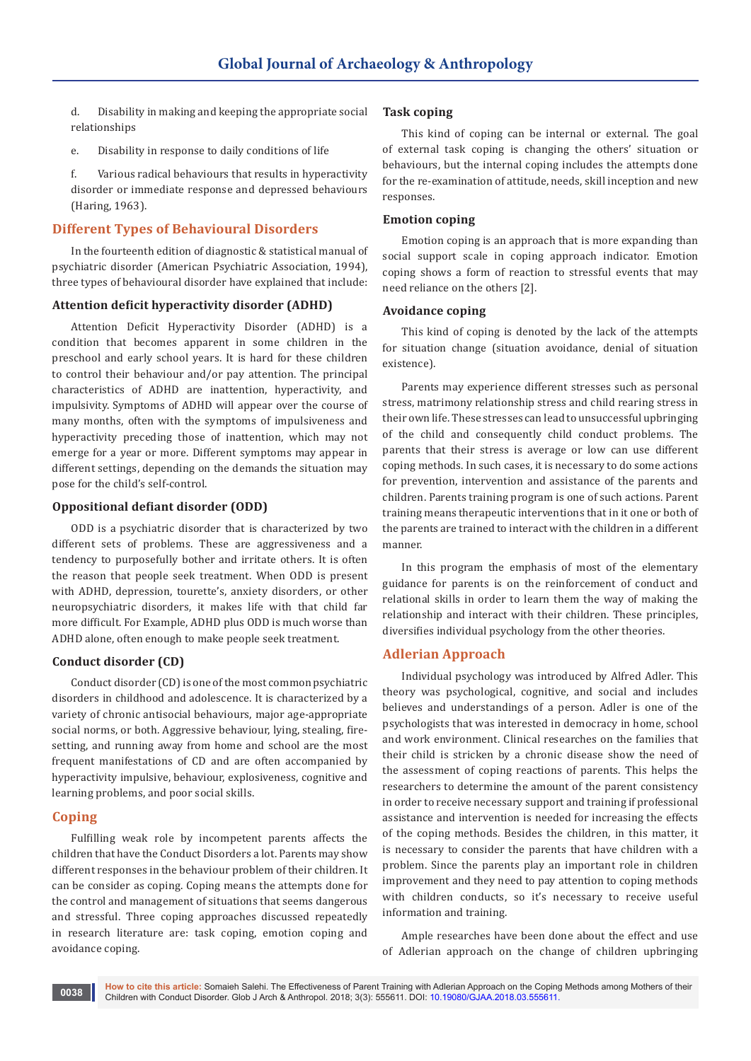d. Disability in making and keeping the appropriate social relationships

e. Disability in response to daily conditions of life

f. Various radical behaviours that results in hyperactivity disorder or immediate response and depressed behaviours (Haring, 1963).

## **Different Types of Behavioural Disorders**

In the fourteenth edition of diagnostic & statistical manual of psychiatric disorder (American Psychiatric Association, 1994), three types of behavioural disorder have explained that include:

### **Attention deficit hyperactivity disorder (ADHD)**

Attention Deficit Hyperactivity Disorder (ADHD) is a condition that becomes apparent in some children in the preschool and early school years. It is hard for these children to control their behaviour and/or pay attention. The principal characteristics of ADHD are inattention, hyperactivity, and impulsivity. Symptoms of ADHD will appear over the course of many months, often with the symptoms of impulsiveness and hyperactivity preceding those of inattention, which may not emerge for a year or more. Different symptoms may appear in different settings, depending on the demands the situation may pose for the child's self-control.

## **Oppositional defiant disorder (ODD)**

ODD is a psychiatric disorder that is characterized by two different sets of problems. These are aggressiveness and a tendency to purposefully bother and irritate others. It is often the reason that people seek treatment. When ODD is present with ADHD, depression, tourette's, anxiety disorders, or other neuropsychiatric disorders, it makes life with that child far more difficult. For Example, ADHD plus ODD is much worse than ADHD alone, often enough to make people seek treatment.

## **Conduct disorder (CD)**

Conduct disorder (CD) is one of the most common psychiatric disorders in childhood and adolescence. It is characterized by a variety of chronic antisocial behaviours, major age-appropriate social norms, or both. Aggressive behaviour, lying, stealing, firesetting, and running away from home and school are the most frequent manifestations of CD and are often accompanied by hyperactivity impulsive, behaviour, explosiveness, cognitive and learning problems, and poor social skills.

## **Coping**

Fulfilling weak role by incompetent parents affects the children that have the Conduct Disorders a lot. Parents may show different responses in the behaviour problem of their children. It can be consider as coping. Coping means the attempts done for the control and management of situations that seems dangerous and stressful. Three coping approaches discussed repeatedly in research literature are: task coping, emotion coping and avoidance coping.

#### **Task coping**

This kind of coping can be internal or external. The goal of external task coping is changing the others' situation or behaviours, but the internal coping includes the attempts done for the re-examination of attitude, needs, skill inception and new responses.

#### **Emotion coping**

Emotion coping is an approach that is more expanding than social support scale in coping approach indicator. Emotion coping shows a form of reaction to stressful events that may need reliance on the others [2].

### **Avoidance coping**

This kind of coping is denoted by the lack of the attempts for situation change (situation avoidance, denial of situation existence).

Parents may experience different stresses such as personal stress, matrimony relationship stress and child rearing stress in their own life. These stresses can lead to unsuccessful upbringing of the child and consequently child conduct problems. The parents that their stress is average or low can use different coping methods. In such cases, it is necessary to do some actions for prevention, intervention and assistance of the parents and children. Parents training program is one of such actions. Parent training means therapeutic interventions that in it one or both of the parents are trained to interact with the children in a different manner.

In this program the emphasis of most of the elementary guidance for parents is on the reinforcement of conduct and relational skills in order to learn them the way of making the relationship and interact with their children. These principles, diversifies individual psychology from the other theories.

## **Adlerian Approach**

Individual psychology was introduced by Alfred Adler. This theory was psychological, cognitive, and social and includes believes and understandings of a person. Adler is one of the psychologists that was interested in democracy in home, school and work environment. Clinical researches on the families that their child is stricken by a chronic disease show the need of the assessment of coping reactions of parents. This helps the researchers to determine the amount of the parent consistency in order to receive necessary support and training if professional assistance and intervention is needed for increasing the effects of the coping methods. Besides the children, in this matter, it is necessary to consider the parents that have children with a problem. Since the parents play an important role in children improvement and they need to pay attention to coping methods with children conducts, so it's necessary to receive useful information and training.

Ample researches have been done about the effect and use of Adlerian approach on the change of children upbringing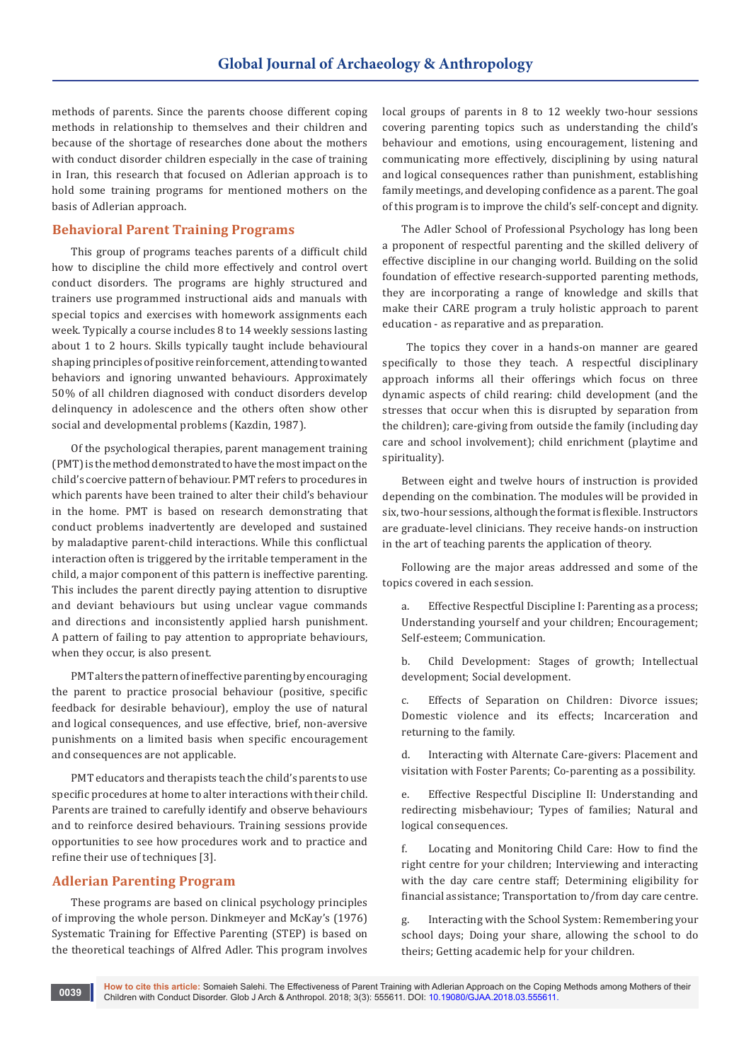methods of parents. Since the parents choose different coping methods in relationship to themselves and their children and because of the shortage of researches done about the mothers with conduct disorder children especially in the case of training in Iran, this research that focused on Adlerian approach is to hold some training programs for mentioned mothers on the basis of Adlerian approach.

## **Behavioral Parent Training Programs**

This group of programs teaches parents of a difficult child how to discipline the child more effectively and control overt conduct disorders. The programs are highly structured and trainers use programmed instructional aids and manuals with special topics and exercises with homework assignments each week. Typically a course includes 8 to 14 weekly sessions lasting about 1 to 2 hours. Skills typically taught include behavioural shaping principles of positive reinforcement, attending to wanted behaviors and ignoring unwanted behaviours. Approximately 50% of all children diagnosed with conduct disorders develop delinquency in adolescence and the others often show other social and developmental problems (Kazdin, 1987).

Of the psychological therapies, parent management training (PMT) is the method demonstrated to have the most impact on the child's coercive pattern of behaviour. PMT refers to procedures in which parents have been trained to alter their child's behaviour in the home. PMT is based on research demonstrating that conduct problems inadvertently are developed and sustained by maladaptive parent-child interactions. While this conflictual interaction often is triggered by the irritable temperament in the child, a major component of this pattern is ineffective parenting. This includes the parent directly paying attention to disruptive and deviant behaviours but using unclear vague commands and directions and inconsistently applied harsh punishment. A pattern of failing to pay attention to appropriate behaviours, when they occur, is also present.

PMT alters the pattern of ineffective parenting by encouraging the parent to practice prosocial behaviour (positive, specific feedback for desirable behaviour), employ the use of natural and logical consequences, and use effective, brief, non-aversive punishments on a limited basis when specific encouragement and consequences are not applicable.

PMT educators and therapists teach the child's parents to use specific procedures at home to alter interactions with their child. Parents are trained to carefully identify and observe behaviours and to reinforce desired behaviours. Training sessions provide opportunities to see how procedures work and to practice and refine their use of techniques [3].

#### **Adlerian Parenting Program**

These programs are based on clinical psychology principles of improving the whole person. Dinkmeyer and McKay's (1976) Systematic Training for Effective Parenting (STEP) is based on the theoretical teachings of Alfred Adler. This program involves

local groups of parents in 8 to 12 weekly two-hour sessions covering parenting topics such as understanding the child's behaviour and emotions, using encouragement, listening and communicating more effectively, disciplining by using natural and logical consequences rather than punishment, establishing family meetings, and developing confidence as a parent. The goal of this program is to improve the child's self-concept and dignity.

The Adler School of Professional Psychology has long been a proponent of respectful parenting and the skilled delivery of effective discipline in our changing world. Building on the solid foundation of effective research-supported parenting methods, they are incorporating a range of knowledge and skills that make their CARE program a truly holistic approach to parent education - as reparative and as preparation.

 The topics they cover in a hands-on manner are geared specifically to those they teach. A respectful disciplinary approach informs all their offerings which focus on three dynamic aspects of child rearing: child development (and the stresses that occur when this is disrupted by separation from the children); care-giving from outside the family (including day care and school involvement); child enrichment (playtime and spirituality).

Between eight and twelve hours of instruction is provided depending on the combination. The modules will be provided in six, two-hour sessions, although the format is flexible. Instructors are graduate-level clinicians. They receive hands-on instruction in the art of teaching parents the application of theory.

Following are the major areas addressed and some of the topics covered in each session.

a. Effective Respectful Discipline I: Parenting as a process; Understanding yourself and your children; Encouragement; Self-esteem; Communication.

b. Child Development: Stages of growth; Intellectual development; Social development.

c. Effects of Separation on Children: Divorce issues; Domestic violence and its effects; Incarceration and returning to the family.

d. Interacting with Alternate Care-givers: Placement and visitation with Foster Parents; Co-parenting as a possibility.

e. Effective Respectful Discipline II: Understanding and redirecting misbehaviour; Types of families; Natural and logical consequences.

f. Locating and Monitoring Child Care: How to find the right centre for your children; Interviewing and interacting with the day care centre staff; Determining eligibility for financial assistance; Transportation to/from day care centre.

g. Interacting with the School System: Remembering your school days; Doing your share, allowing the school to do theirs; Getting academic help for your children.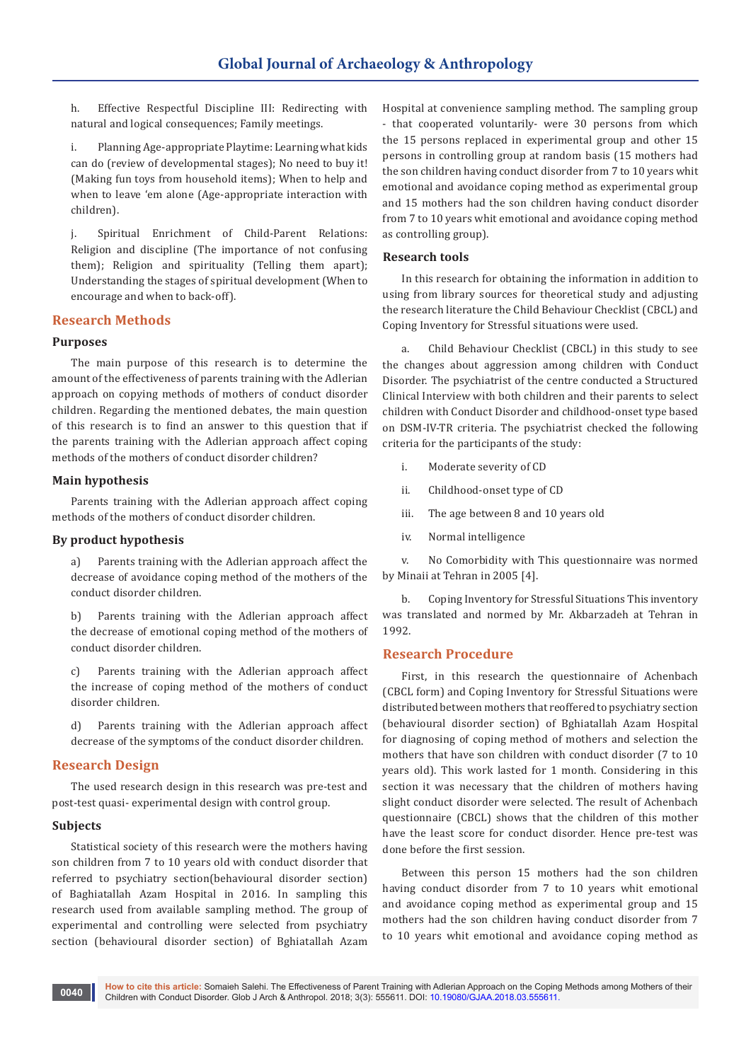h. Effective Respectful Discipline III: Redirecting with natural and logical consequences; Family meetings.

i. Planning Age-appropriate Playtime: Learning what kids can do (review of developmental stages); No need to buy it! (Making fun toys from household items); When to help and when to leave 'em alone (Age-appropriate interaction with children).

j. Spiritual Enrichment of Child-Parent Relations: Religion and discipline (The importance of not confusing them); Religion and spirituality (Telling them apart); Understanding the stages of spiritual development (When to encourage and when to back-off).

### **Research Methods**

#### **Purposes**

The main purpose of this research is to determine the amount of the effectiveness of parents training with the Adlerian approach on copying methods of mothers of conduct disorder children. Regarding the mentioned debates, the main question of this research is to find an answer to this question that if the parents training with the Adlerian approach affect coping methods of the mothers of conduct disorder children?

### **Main hypothesis**

Parents training with the Adlerian approach affect coping methods of the mothers of conduct disorder children.

#### **By product hypothesis**

a) Parents training with the Adlerian approach affect the decrease of avoidance coping method of the mothers of the conduct disorder children.

b) Parents training with the Adlerian approach affect the decrease of emotional coping method of the mothers of conduct disorder children.

c) Parents training with the Adlerian approach affect the increase of coping method of the mothers of conduct disorder children.

d) Parents training with the Adlerian approach affect decrease of the symptoms of the conduct disorder children.

## **Research Design**

The used research design in this research was pre-test and post-test quasi- experimental design with control group.

#### **Subjects**

Statistical society of this research were the mothers having son children from 7 to 10 years old with conduct disorder that referred to psychiatry section(behavioural disorder section) of Baghiatallah Azam Hospital in 2016. In sampling this research used from available sampling method. The group of experimental and controlling were selected from psychiatry section (behavioural disorder section) of Bghiatallah Azam

Hospital at convenience sampling method. The sampling group - that cooperated voluntarily- were 30 persons from which the 15 persons replaced in experimental group and other 15 persons in controlling group at random basis (15 mothers had the son children having conduct disorder from 7 to 10 years whit emotional and avoidance coping method as experimental group and 15 mothers had the son children having conduct disorder from 7 to 10 years whit emotional and avoidance coping method as controlling group).

#### **Research tools**

In this research for obtaining the information in addition to using from library sources for theoretical study and adjusting the research literature the Child Behaviour Checklist (CBCL) and Coping Inventory for Stressful situations were used.

a. Child Behaviour Checklist (CBCL) in this study to see the changes about aggression among children with Conduct Disorder. The psychiatrist of the centre conducted a Structured Clinical Interview with both children and their parents to select children with Conduct Disorder and childhood-onset type based on DSM-IV-TR criteria. The psychiatrist checked the following criteria for the participants of the study:

- i. Moderate severity of CD
- ii. Childhood-onset type of CD
- iii. The age between 8 and 10 years old
- iv. Normal intelligence

v. No Comorbidity with This questionnaire was normed by Minaii at Tehran in 2005 [4].

b. Coping Inventory for Stressful Situations This inventory was translated and normed by Mr. Akbarzadeh at Tehran in 1992.

#### **Research Procedure**

First, in this research the questionnaire of Achenbach (CBCL form) and Coping Inventory for Stressful Situations were distributed between mothers that reoffered to psychiatry section (behavioural disorder section) of Bghiatallah Azam Hospital for diagnosing of coping method of mothers and selection the mothers that have son children with conduct disorder (7 to 10 years old). This work lasted for 1 month. Considering in this section it was necessary that the children of mothers having slight conduct disorder were selected. The result of Achenbach questionnaire (CBCL) shows that the children of this mother have the least score for conduct disorder. Hence pre-test was done before the first session.

Between this person 15 mothers had the son children having conduct disorder from 7 to 10 years whit emotional and avoidance coping method as experimental group and 15 mothers had the son children having conduct disorder from 7 to 10 years whit emotional and avoidance coping method as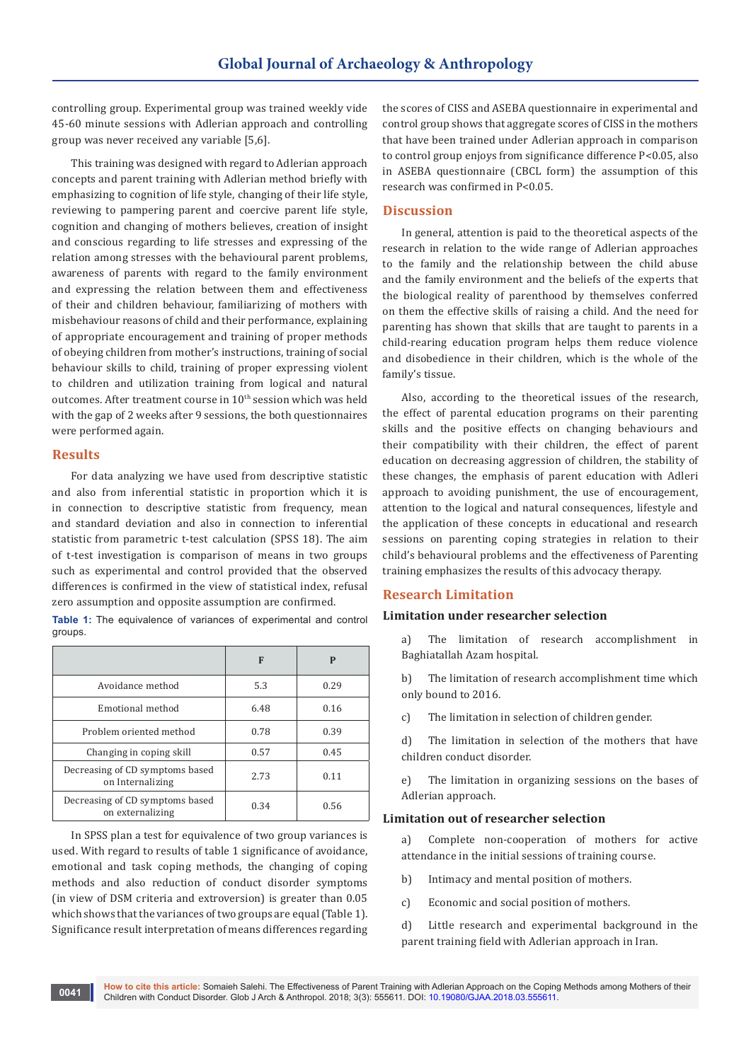controlling group. Experimental group was trained weekly vide 45-60 minute sessions with Adlerian approach and controlling group was never received any variable [5,6].

This training was designed with regard to Adlerian approach concepts and parent training with Adlerian method briefly with emphasizing to cognition of life style, changing of their life style, reviewing to pampering parent and coercive parent life style, cognition and changing of mothers believes, creation of insight and conscious regarding to life stresses and expressing of the relation among stresses with the behavioural parent problems, awareness of parents with regard to the family environment and expressing the relation between them and effectiveness of their and children behaviour, familiarizing of mothers with misbehaviour reasons of child and their performance, explaining of appropriate encouragement and training of proper methods of obeying children from mother's instructions, training of social behaviour skills to child, training of proper expressing violent to children and utilization training from logical and natural outcomes. After treatment course in 10<sup>th</sup> session which was held with the gap of 2 weeks after 9 sessions, the both questionnaires were performed again.

### **Results**

For data analyzing we have used from descriptive statistic and also from inferential statistic in proportion which it is in connection to descriptive statistic from frequency, mean and standard deviation and also in connection to inferential statistic from parametric t-test calculation (SPSS 18). The aim of t-test investigation is comparison of means in two groups such as experimental and control provided that the observed differences is confirmed in the view of statistical index, refusal zero assumption and opposite assumption are confirmed.

**Table 1:** The equivalence of variances of experimental and control groups.

|                                                     | F    | P    |
|-----------------------------------------------------|------|------|
| Avoidance method                                    | 5.3  | 0.29 |
| Emotional method                                    | 6.48 | 0.16 |
| Problem oriented method                             | 0.78 | 0.39 |
| Changing in coping skill                            | 0.57 | 0.45 |
| Decreasing of CD symptoms based<br>on Internalizing | 2.73 | 0.11 |
| Decreasing of CD symptoms based<br>on externalizing | 0.34 | 0.56 |

In SPSS plan a test for equivalence of two group variances is used. With regard to results of table 1 significance of avoidance, emotional and task coping methods, the changing of coping methods and also reduction of conduct disorder symptoms (in view of DSM criteria and extroversion) is greater than 0.05 which shows that the variances of two groups are equal (Table 1). Significance result interpretation of means differences regarding

the scores of CISS and ASEBA questionnaire in experimental and control group shows that aggregate scores of CISS in the mothers that have been trained under Adlerian approach in comparison to control group enjoys from significance difference P<0.05, also in ASEBA questionnaire (CBCL form) the assumption of this research was confirmed in P<0.05.

### **Discussion**

In general, attention is paid to the theoretical aspects of the research in relation to the wide range of Adlerian approaches to the family and the relationship between the child abuse and the family environment and the beliefs of the experts that the biological reality of parenthood by themselves conferred on them the effective skills of raising a child. And the need for parenting has shown that skills that are taught to parents in a child-rearing education program helps them reduce violence and disobedience in their children, which is the whole of the family's tissue.

Also, according to the theoretical issues of the research, the effect of parental education programs on their parenting skills and the positive effects on changing behaviours and their compatibility with their children, the effect of parent education on decreasing aggression of children, the stability of these changes, the emphasis of parent education with Adleri approach to avoiding punishment, the use of encouragement, attention to the logical and natural consequences, lifestyle and the application of these concepts in educational and research sessions on parenting coping strategies in relation to their child's behavioural problems and the effectiveness of Parenting training emphasizes the results of this advocacy therapy.

## **Research Limitation**

## **Limitation under researcher selection**

a) The limitation of research accomplishment in Baghiatallah Azam hospital.

b) The limitation of research accomplishment time which only bound to 2016.

c) The limitation in selection of children gender.

d) The limitation in selection of the mothers that have children conduct disorder.

e) The limitation in organizing sessions on the bases of Adlerian approach.

## **Limitation out of researcher selection**

a) Complete non-cooperation of mothers for active attendance in the initial sessions of training course.

- b) Intimacy and mental position of mothers.
- c) Economic and social position of mothers.

d) Little research and experimental background in the parent training field with Adlerian approach in Iran.